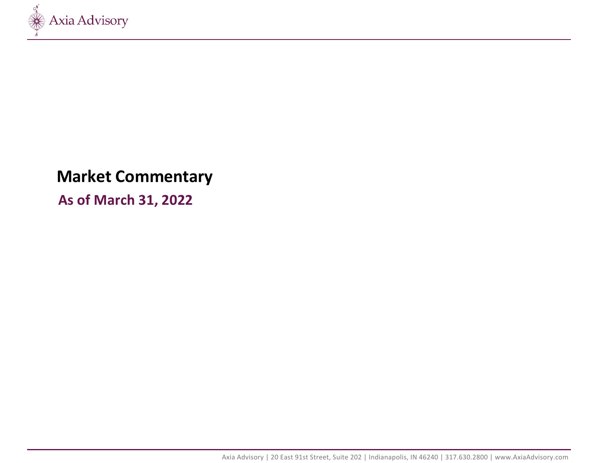

# **Market Commentary**

**As of March 31, 2022**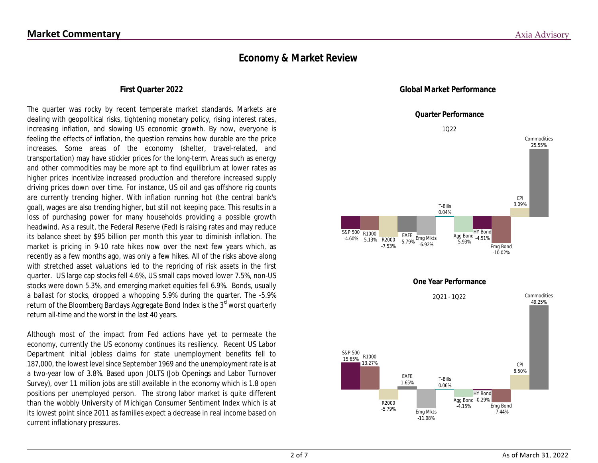### **Economy & Market Review**

### **First Quarter 2022**

The quarter was rocky by recent temperate market standards. Markets are dealing with geopolitical risks, tightening monetary policy, rising interest rates, increasing inflation, and slowing US economic growth. By now, everyone is feeling the effects of inflation, the question remains how durable are the price increases. Some areas of the economy (shelter, travel-related, and transportation) may have stickier prices for the long-term. Areas such as energy and other commodities may be more apt to find equilibrium at lower rates as higher prices incentivize increased production and therefore increased supply driving prices down over time. For instance, US oil and gas offshore rig counts are currently trending higher. With inflation running hot (the central bank's goal), wages are also trending higher, but still not keeping pace. This results in a loss of purchasing power for many households providing a possible growth headwind. As a result, the Federal Reserve (Fed) is raising rates and may reduce its balance sheet by \$95 billion per month this year to diminish inflation. The market is pricing in 9-10 rate hikes now over the next few years which, as recently as a few months ago, was only a few hikes. All of the risks above along with stretched asset valuations led to the repricing of risk assets in the first quarter. US large cap stocks fell 4.6%, US small caps moved lower 7.5%, non-US stocks were down 5.3%, and emerging market equities fell 6.9%. Bonds, usually a ballast for stocks, dropped a whopping 5.9% during the quarter. The -5.9% return of the Bloomberg Barclays Aggregate Bond Index is the 3<sup>rd</sup> worst quarterly return all-time and the worst in the last 40 years.

Although most of the impact from Fed actions have yet to permeate the economy, currently the US economy continues its resiliency. Recent US Labor Department initial jobless claims for state unemployment benefits fell to 187,000, the lowest level since September 1969 and the unemployment rate is at a two-year low of 3.8%. Based upon JOLTS (Job Openings and Labor Turnover Survey), over 11 million jobs are still available in the economy which is 1.8 open positions per unemployed person. The strong labor market is quite different than the wobbly University of Michigan Consumer Sentiment Index which is at its lowest point since 2011 as families expect a decrease in real income based on current inflationary pressures.



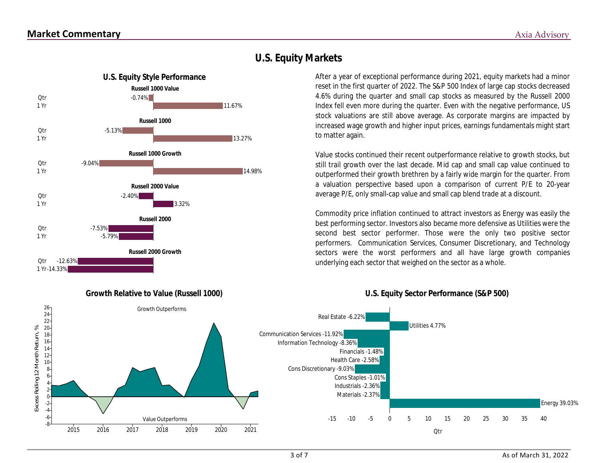1 Yr **Otr** 

1 Yr Qtr

1 Yr Qtr

1 Yr **Otr** 

1 Yr Qtr

**Otr** 

1 Yr -14.33%

-12.63%

-5.79%

**Russell 2000 Growth**



### **U.S. Equity Markets**

After a year of exceptional performance during 2021, equity markets had a minor reset in the first quarter of 2022. The S&P 500 Index of large cap stocks decreased 4.6% during the quarter and small cap stocks as measured by the Russell 2000 Index fell even more during the quarter. Even with the negative performance, US stock valuations are still above average. As corporate margins are impacted by increased wage growth and higher input prices, earnings fundamentals might start to matter again.

Value stocks continued their recent outperformance relative to growth stocks, but still trail growth over the last decade. Mid cap and small cap value continued to outperformed their growth brethren by a fairly wide margin for the quarter. From a valuation perspective based upon a comparison of current P/E to 20-year average P/E, only small-cap value and small cap blend trade at a discount.

Commodity price inflation continued to attract investors as Energy was easily the best performing sector. Investors also became more defensive as Utilities were the second best sector performer. Those were the only two positive sector performers. Communication Services, Consumer Discretionary, and Technology sectors were the worst performers and all have large growth companies underlying each sector that weighed on the sector as a whole.

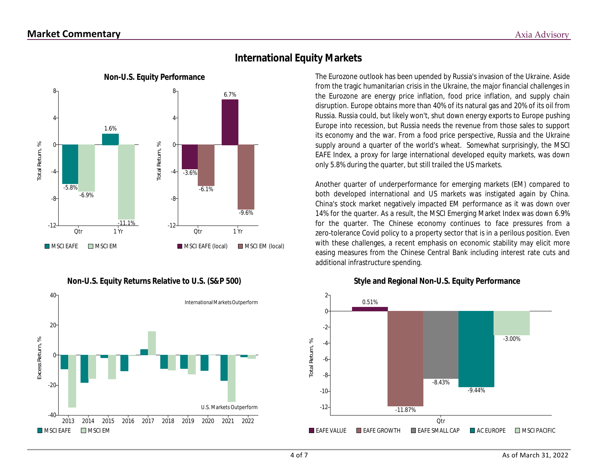

### **International Equity Markets**

**Non-U.S. Equity Performance** The Eurozone outlook has been upended by Russia's invasion of the Ukraine. Aside from the tragic humanitarian crisis in the Ukraine, the major financial challenges in the Eurozone are energy price inflation, food price inflation, and supply chain disruption. Europe obtains more than 40% of its natural gas and 20% of its oil from Russia. Russia could, but likely won't, shut down energy exports to Europe pushing Europe into recession, but Russia needs the revenue from those sales to support its economy and the war. From a food price perspective, Russia and the Ukraine supply around a quarter of the world's wheat. Somewhat surprisingly, the MSCI EAFE Index, a proxy for large international developed equity markets, was down only 5.8% during the quarter, but still trailed the US markets.

> Another quarter of underperformance for emerging markets (EM) compared to both developed international and US markets was instigated again by China. China's stock market negatively impacted EM performance as it was down over 14% for the quarter. As a result, the MSCI Emerging Market Index was down 6.9% for the quarter. The Chinese economy continues to face pressures from a zero-tolerance Covid policy to a property sector that is in a perilous position. Even with these challenges, a recent emphasis on economic stability may elicit more easing measures from the Chinese Central Bank including interest rate cuts and additional infrastructure spending.





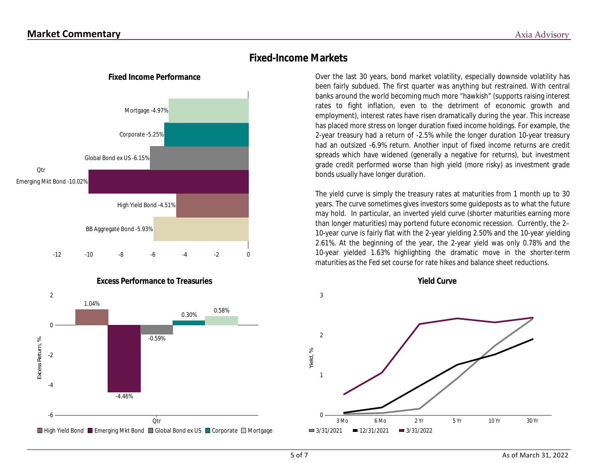

**Excess Performance to Treasuries**



### **Fixed-Income Markets**

**Fixed Income Performance** Over the last 30 years, bond market volatility, especially downside volatility has been fairly subdued. The first quarter was anything but restrained. With central banks around the world becoming much more "hawkish" (supports raising interest rates to fight inflation, even to the detriment of economic growth and employment), interest rates have risen dramatically during the year. This increase has placed more stress on longer duration fixed income holdings. For example, the 2-year treasury had a return of -2.5% while the longer duration 10-year treasury had an outsized -6.9% return. Another input of fixed income returns are credit spreads which have widened (generally a negative for returns), but investment grade credit performed worse than high yield (more risky) as investment grade bonds usually have longer duration.

> The yield curve is simply the treasury rates at maturities from 1 month up to 30 years. The curve sometimes gives investors some guideposts as to what the future may hold. In particular, an inverted yield curve (shorter maturities earning more than longer maturities) may portend future economic recession. Currently, the 2– 10-year curve is fairly flat with the 2-year yielding 2.50% and the 10-year yielding 2.61%. At the beginning of the year, the 2-year yield was only 0.78% and the 10-year yielded 1.63% highlighting the dramatic move in the shorter-term maturities as the Fed set course for rate hikes and balance sheet reductions.



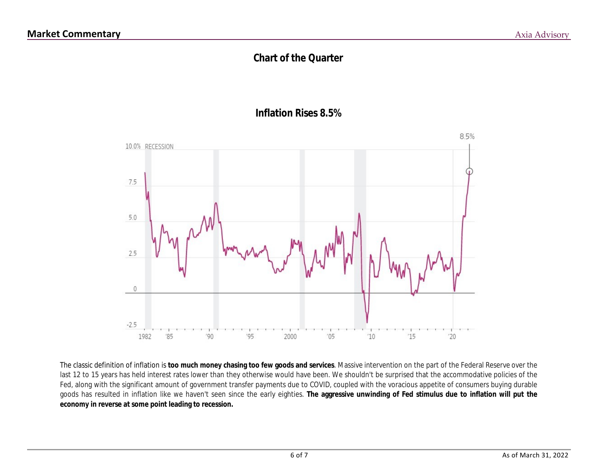## **Chart of the Quarter**





The classic definition of inflation is **too much money chasing too few goods and services**. Massive intervention on the part of the Federal Reserve over the last 12 to 15 years has held interest rates lower than they otherwise would have been. We shouldn't be surprised that the accommodative policies of the Fed, along with the significant amount of government transfer payments due to COVID, coupled with the voracious appetite of consumers buying durable goods has resulted in inflation like we haven't seen since the early eighties. **The aggressive unwinding of Fed stimulus due to inflation will put the economy in reverse at some point leading to recession.**